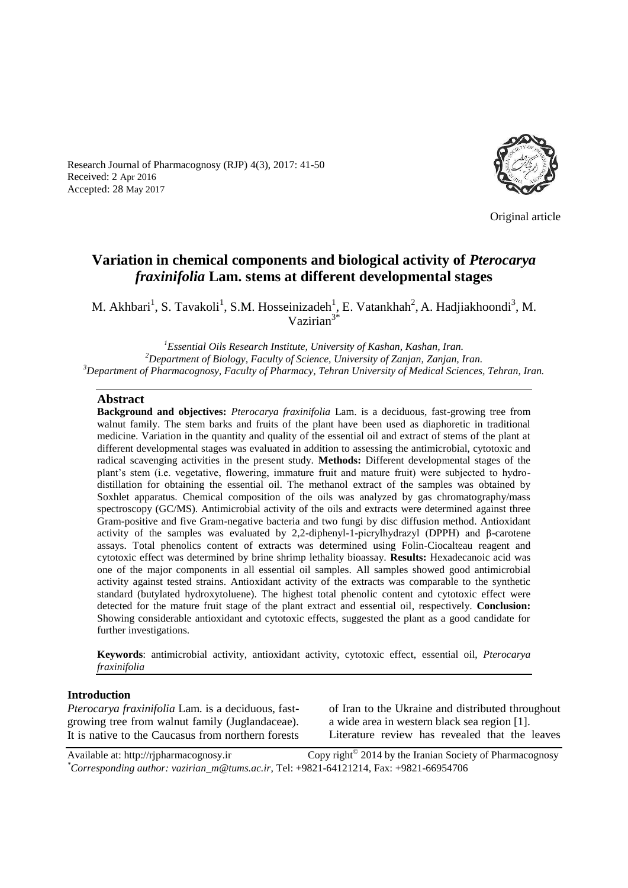Research Journal of Pharmacognosy (RJP) 4(3), 2017: 41-50 Received: 2 Apr 2016 Accepted: 28 May 2017



Original article

# **Variation in chemical components and biological activity of** *Pterocarya fraxinifolia* **Lam. stems at different developmental stages**

M. Akhbari<sup>1</sup>, S. Tavakoli<sup>1</sup>, S.M. Hosseinizadeh<sup>1</sup>, E. Vatankhah<sup>2</sup>, A. Hadjiakhoondi<sup>3</sup>, M. Vazirian<sup>3\*</sup>

*<sup>1</sup>Essential Oils Research Institute, University of Kashan, Kashan, Iran. <sup>2</sup>Department of Biology, Faculty of Science, University of Zanjan, Zanjan, Iran. <sup>3</sup>Department of Pharmacognosy, Faculty of Pharmacy, Tehran University of Medical Sciences, Tehran, Iran.*

#### **Abstract**

**Background and objectives:** *Pterocarya fraxinifolia* Lam. is a deciduous, fast-growing tree from walnut family. The stem barks and fruits of the plant have been used as diaphoretic in traditional medicine. Variation in the quantity and quality of the essential oil and extract of stems of the plant at different developmental stages was evaluated in addition to assessing the antimicrobial, cytotoxic and radical scavenging activities in the present study. **Methods:** Different developmental stages of the plant's stem (i.e. vegetative, flowering, immature fruit and mature fruit) were subjected to hydrodistillation for obtaining the essential oil. The methanol extract of the samples was obtained by Soxhlet apparatus. Chemical composition of the oils was analyzed by gas chromatography/mass spectroscopy (GC/MS). Antimicrobial activity of the oils and extracts were determined against three Gram-positive and five Gram-negative bacteria and two fungi by disc diffusion method. Antioxidant activity of the samples was evaluated by 2,2-diphenyl-1-picrylhydrazyl (DPPH) and β-carotene assays. Total phenolics content of extracts was determined using Folin-Ciocalteau reagent and cytotoxic effect was determined by brine shrimp lethality bioassay. **Results:** Hexadecanoic acid was one of the major components in all essential oil samples. All samples showed good antimicrobial activity against tested strains. Antioxidant activity of the extracts was comparable to the synthetic standard (butylated hydroxytoluene). The highest total phenolic content and cytotoxic effect were detected for the mature fruit stage of the plant extract and essential oil, respectively. **Conclusion:** Showing considerable antioxidant and cytotoxic effects, suggested the plant as a good candidate for further investigations.

**Keywords**: antimicrobial activity, antioxidant activity, cytotoxic effect, essential oil, *Pterocarya fraxinifolia*

#### **Introduction**

*Pterocarya fraxinifolia* Lam. is a deciduous, fastgrowing tree from walnut family (Juglandaceae). It is native to the Caucasus from northern forests of Iran to the Ukraine and distributed throughout a wide area in western black sea region [1]. Literature review has revealed that the leaves

Available at: http://rjpharmacognosy.ir 2014 by the Iranian Society of Pharmacognosy *\*Corresponding author: vazirian\_m@tums.ac.ir,* Tel: +9821-64121214, Fax: +9821-66954706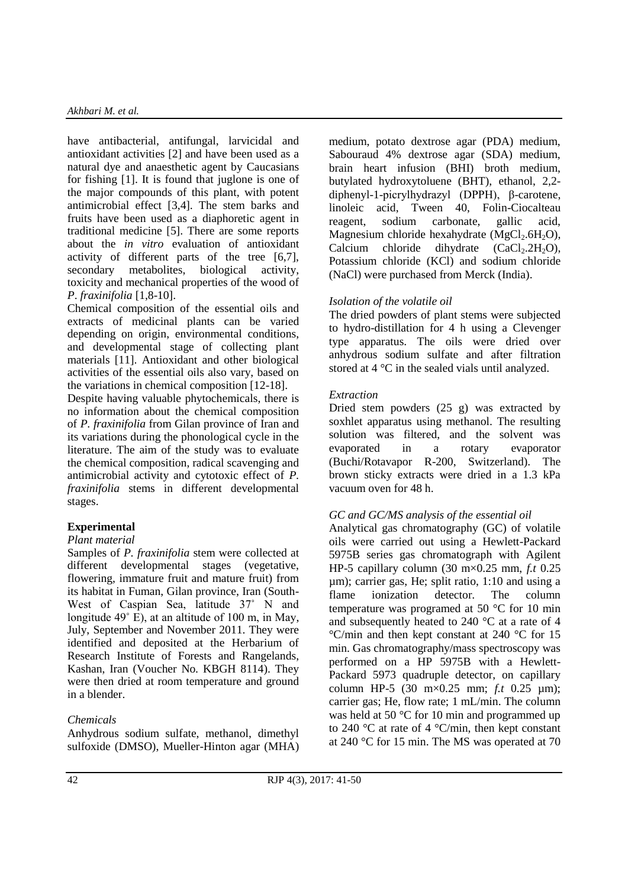have antibacterial, antifungal, larvicidal and antioxidant activities [2] and have been used as a natural dye and anaesthetic agent by Caucasians for fishing [1]. It is found that juglone is one of the major compounds of this plant, with potent antimicrobial effect [3,4]. The stem barks and fruits have been used as a diaphoretic agent in traditional medicine [5]. There are some reports about the *in vitro* evaluation of antioxidant activity of different parts of the tree [6,7], secondary metabolites, biological activity, toxicity and mechanical properties of the wood of *P*. *fraxinifolia* [1,8-10].

Chemical composition of the essential oils and extracts of medicinal plants can be varied depending on origin, environmental conditions, and developmental stage of collecting plant materials [11]. Antioxidant and other biological activities of the essential oils also vary, based on the variations in chemical composition [12-18].

Despite having valuable phytochemicals, there is no information about the chemical composition of *P. fraxinifolia* from Gilan province of Iran and its variations during the phonological cycle in the literature. The aim of the study was to evaluate the chemical composition, radical scavenging and antimicrobial activity and cytotoxic effect of *P. fraxinifolia* stems in different developmental stages.

# **Experimental**

# *Plant material*

Samples of *P. fraxinifolia* stem were collected at different developmental stages (vegetative, flowering, immature fruit and mature fruit) from its habitat in Fuman, Gilan province, Iran (South-West of Caspian Sea, latitude 37˚ N and longitude 49˚ E), at an altitude of 100 m, in May, July, September and November 2011. They were identified and deposited at the Herbarium of Research Institute of Forests and Rangelands, Kashan, Iran (Voucher No. KBGH 8114). They were then dried at room temperature and ground in a blender.

# *Chemicals*

Anhydrous sodium sulfate, methanol, dimethyl sulfoxide (DMSO), Mueller-Hinton agar (MHA) medium, potato dextrose agar (PDA) medium, Sabouraud 4% dextrose agar (SDA) medium, brain heart infusion (BHI) broth medium, butylated hydroxytoluene (BHT), ethanol, 2,2 diphenyl-1-picrylhydrazyl (DPPH), β-carotene, linoleic acid, Tween 40, Folin-Ciocalteau reagent, sodium carbonate, gallic acid, Magnesium chloride hexahydrate  $(MgCl<sub>2</sub>.6H<sub>2</sub>O)$ , Calcium chloride dihydrate  $(CaCl<sub>2</sub>.2H<sub>2</sub>O)$ , Potassium chloride (KCl) and sodium chloride (NaCl) were purchased from Merck (India).

# *Isolation of the volatile oil*

The dried powders of plant stems were subjected to hydro-distillation for 4 h using a Clevenger type apparatus. The oils were dried over anhydrous sodium sulfate and after filtration stored at 4 °C in the sealed vials until analyzed.

# *Extraction*

Dried stem powders (25 g) was extracted by soxhlet apparatus using methanol. The resulting solution was filtered, and the solvent was evaporated in a rotary evaporator (Buchi/Rotavapor R-200, Switzerland). The brown sticky extracts were dried in a 1.3 kPa vacuum oven for 48 h.

# *GC and GC/MS analysis of the essential oil*

Analytical gas chromatography (GC) of volatile oils were carried out using a Hewlett-Packard 5975B series gas chromatograph with Agilent HP-5 capillary column (30 m×0.25 mm, *f.t* 0.25 µm); carrier gas, He; split ratio, 1:10 and using a flame ionization detector. The column temperature was programed at 50 °C for 10 min and subsequently heated to 240 °C at a rate of 4 °C/min and then kept constant at 240 °C for 15 min. Gas chromatography/mass spectroscopy was performed on a HP 5975B with a Hewlett-Packard 5973 quadruple detector, on capillary column HP-5 (30 m×0.25 mm; *f.t* 0.25 µm); carrier gas; He, flow rate; 1 mL/min. The column was held at 50 °C for 10 min and programmed up to 240 °C at rate of 4 °C/min, then kept constant at 240 °C for 15 min. The MS was operated at 70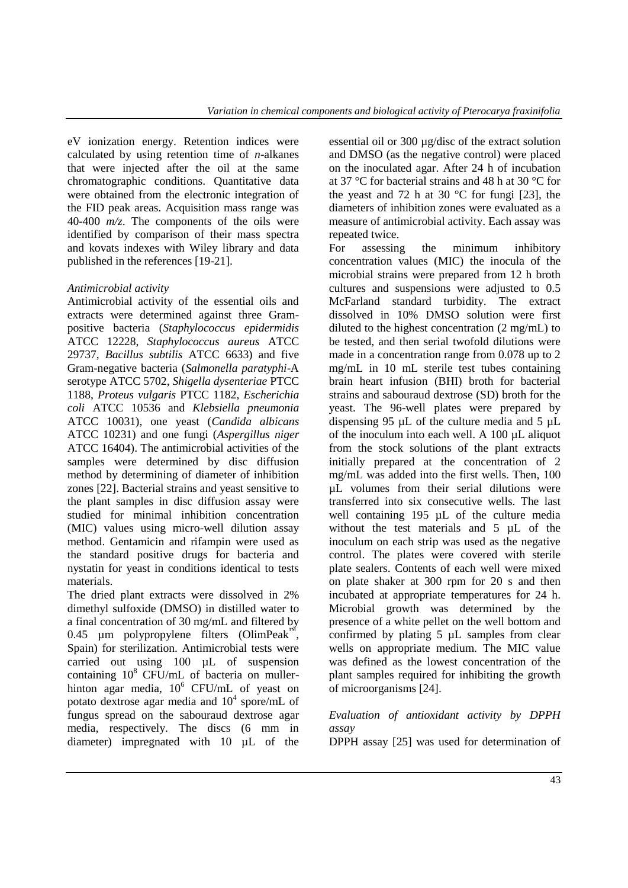eV ionization energy. Retention indices were calculated by using retention time of *n*-alkanes that were injected after the oil at the same chromatographic conditions. Quantitative data were obtained from the electronic integration of the FID peak areas. Acquisition mass range was 40-400 *m/z*. The components of the oils were identified by comparison of their mass spectra and kovats indexes with Wiley library and data published in the references [19-21].

# *Antimicrobial activity*

Antimicrobial activity of the essential oils and extracts were determined against three Grampositive bacteria (*Staphylococcus epidermidis*  ATCC 12228, *Staphylococcus aureus* ATCC 29737, *Bacillus subtilis* ATCC 6633) and five Gram-negative bacteria (*Salmonella paratyphi*-A serotype ATCC 5702, *Shigella dysenteriae* PTCC 1188, *Proteus vulgaris* PTCC 1182, *Escherichia coli* ATCC 10536 and *Klebsiella pneumonia* ATCC 10031), one yeast (*Candida albicans* ATCC 10231) and one fungi (*Aspergillus niger* ATCC 16404). The antimicrobial activities of the samples were determined by disc diffusion method by determining of diameter of inhibition zones [22]. Bacterial strains and yeast sensitive to the plant samples in disc diffusion assay were studied for minimal inhibition concentration (MIC) values using micro-well dilution assay method. Gentamicin and rifampin were used as the standard positive drugs for bacteria and nystatin for yeast in conditions identical to tests materials.

The dried plant extracts were dissolved in 2% dimethyl sulfoxide (DMSO) in distilled water to a final concentration of 30 mg/mL and filtered by 0.45 µm polypropylene filters (OlimPeak<sup>™</sup>, Spain) for sterilization. Antimicrobial tests were carried out using 100 µL of suspension containing  $10^8$  CFU/mL of bacteria on mullerhinton agar media,  $10^6$  CFU/mL of yeast on potato dextrose agar media and  $10^4$  spore/mL of fungus spread on the sabouraud dextrose agar media, respectively. The discs (6 mm in diameter) impregnated with 10 µL of the

essential oil or 300 µg/disc of the extract solution and DMSO (as the negative control) were placed on the inoculated agar. After 24 h of incubation at 37 °C for bacterial strains and 48 h at 30 °C for the yeast and 72 h at 30  $^{\circ}$ C for fungi [23], the diameters of inhibition zones were evaluated as a measure of antimicrobial activity. Each assay was repeated twice.

For assessing the minimum inhibitory concentration values (MIC) the inocula of the microbial strains were prepared from 12 h broth cultures and suspensions were adjusted to 0.5 McFarland standard turbidity. The extract dissolved in 10% DMSO solution were first diluted to the highest concentration (2 mg/mL) to be tested, and then serial twofold dilutions were made in a concentration range from 0.078 up to 2 mg/mL in 10 mL sterile test tubes containing brain heart infusion (BHI) broth for bacterial strains and sabouraud dextrose (SD) broth for the yeast. The 96-well plates were prepared by dispensing 95 µL of the culture media and 5 µL of the inoculum into each well. A 100 µL aliquot from the stock solutions of the plant extracts initially prepared at the concentration of 2 mg/mL was added into the first wells. Then, 100 µL volumes from their serial dilutions were transferred into six consecutive wells. The last well containing 195 uL of the culture media without the test materials and 5 µL of the inoculum on each strip was used as the negative control. The plates were covered with sterile plate sealers. Contents of each well were mixed on plate shaker at 300 rpm for 20 s and then incubated at appropriate temperatures for 24 h. Microbial growth was determined by the presence of a white pellet on the well bottom and confirmed by plating 5 µL samples from clear wells on appropriate medium. The MIC value was defined as the lowest concentration of the plant samples required for inhibiting the growth of microorganisms [24].

*Evaluation of antioxidant activity by DPPH assay*

DPPH assay [25] was used for determination of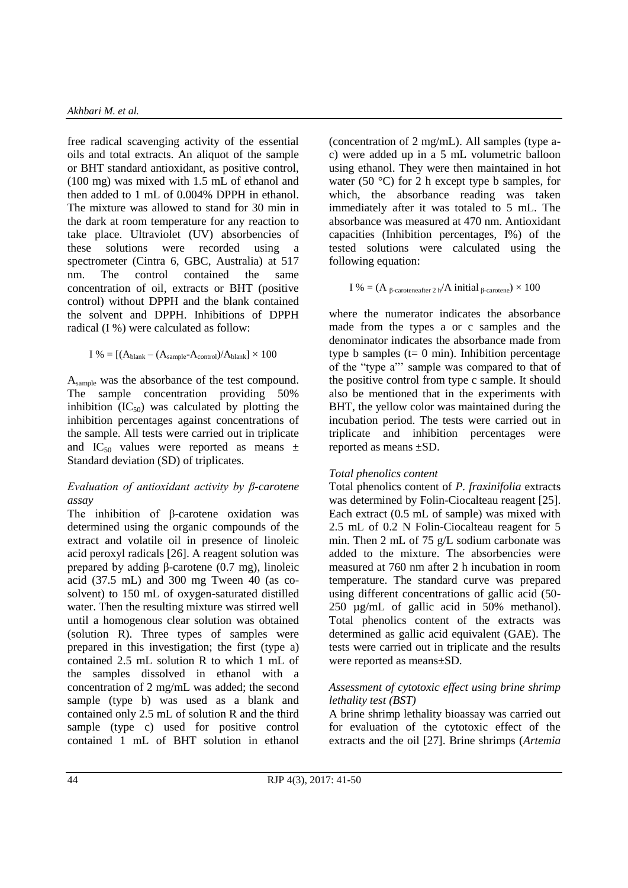free radical scavenging activity of the essential oils and total extracts. An aliquot of the sample or BHT standard antioxidant, as positive control, (100 mg) was mixed with 1.5 mL of ethanol and then added to 1 mL of 0.004% DPPH in ethanol. The mixture was allowed to stand for 30 min in the dark at room temperature for any reaction to take place. Ultraviolet (UV) absorbencies of these solutions were recorded using a spectrometer (Cintra 6, GBC, Australia) at 517 nm. The control contained the same concentration of oil, extracts or BHT (positive control) without DPPH and the blank contained the solvent and DPPH. Inhibitions of DPPH radical (I %) were calculated as follow:

$$
I~\% = [(A_{blank} - (A_{sample} \text{-} A_{control})/A_{blank}] \times 100
$$

Asample was the absorbance of the test compound. The sample concentration providing 50% inhibition  $(IC_{50})$  was calculated by plotting the inhibition percentages against concentrations of the sample. All tests were carried out in triplicate and IC<sub>50</sub> values were reported as means  $\pm$ Standard deviation (SD) of triplicates.

# *Evaluation of antioxidant activity by β-carotene assay*

The inhibition of β-carotene oxidation was determined using the organic compounds of the extract and volatile oil in presence of linoleic acid peroxyl radicals [26]. A reagent solution was prepared by adding β-carotene (0.7 mg), linoleic acid (37.5 mL) and 300 mg Tween 40 (as cosolvent) to 150 mL of oxygen-saturated distilled water. Then the resulting mixture was stirred well until a homogenous clear solution was obtained (solution R). Three types of samples were prepared in this investigation; the first (type a) contained 2.5 mL solution R to which 1 mL of the samples dissolved in ethanol with a concentration of 2 mg/mL was added; the second sample (type b) was used as a blank and contained only 2.5 mL of solution R and the third sample (type c) used for positive control contained 1 mL of BHT solution in ethanol (concentration of 2 mg/mL). All samples (type ac) were added up in a 5 mL volumetric balloon using ethanol. They were then maintained in hot water (50  $^{\circ}$ C) for 2 h except type b samples, for which, the absorbance reading was taken immediately after it was totaled to 5 mL. The absorbance was measured at 470 nm. Antioxidant capacities (Inhibition percentages, I%) of the tested solutions were calculated using the following equation:

I % = (A 
$$
\beta
$$
-caroteneafter 2 h/A initial  $\beta$ -carotene) × 100

where the numerator indicates the absorbance made from the types a or c samples and the denominator indicates the absorbance made from type b samples ( $t= 0$  min). Inhibition percentage of the "type a"' sample was compared to that of the positive control from type c sample. It should also be mentioned that in the experiments with BHT, the yellow color was maintained during the incubation period. The tests were carried out in triplicate and inhibition percentages were reported as means ±SD.

# *Total phenolics content*

Total phenolics content of *P. fraxinifolia* extracts was determined by Folin-Ciocalteau reagent [25]. Each extract (0.5 mL of sample) was mixed with 2.5 mL of 0.2 N Folin-Ciocalteau reagent for 5 min. Then 2 mL of 75 g/L sodium carbonate was added to the mixture. The absorbencies were measured at 760 nm after 2 h incubation in room temperature. The standard curve was prepared using different concentrations of gallic acid (50- 250 µg/mL of gallic acid in 50% methanol). Total phenolics content of the extracts was determined as gallic acid equivalent (GAE). The tests were carried out in triplicate and the results were reported as means±SD.

# *Assessment of cytotoxic effect using brine shrimp lethality test (BST)*

A brine shrimp lethality bioassay was carried out for evaluation of the cytotoxic effect of the extracts and the oil [27]. Brine shrimps (*Artemia*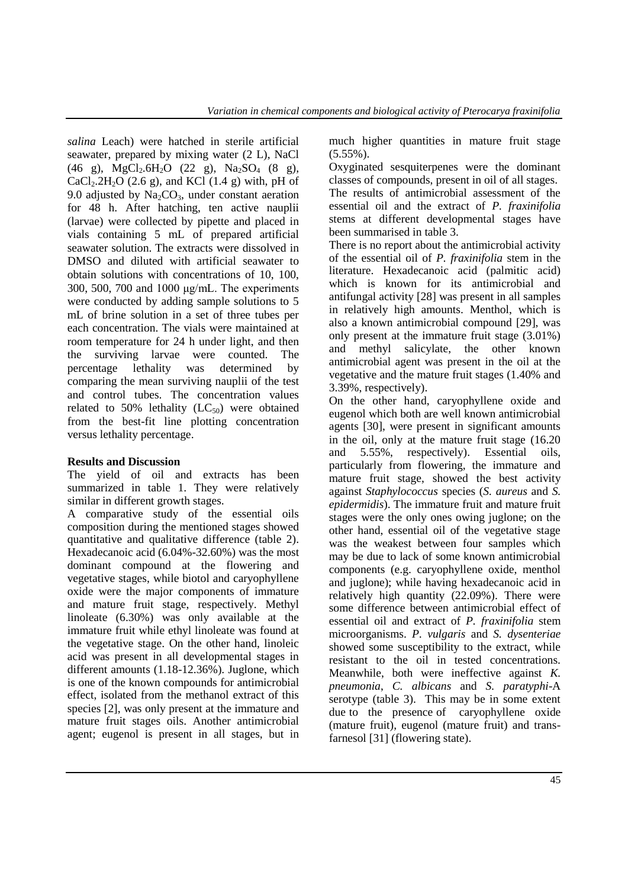*salina* Leach) were hatched in sterile artificial seawater, prepared by mixing water (2 L), NaCl  $(46 \text{ g})$ , MgCl<sub>2</sub>.6H<sub>2</sub>O (22 g), Na<sub>2</sub>SO<sub>4</sub> (8 g),  $CaCl<sub>2</sub>·2H<sub>2</sub>O$  (2.6 g), and KCl (1.4 g) with, pH of 9.0 adjusted by  $Na_2CO_3$ , under constant aeration for 48 h. After hatching, ten active nauplii (larvae) were collected by pipette and placed in vials containing 5 mL of prepared artificial seawater solution. The extracts were dissolved in DMSO and diluted with artificial seawater to obtain solutions with concentrations of 10, 100, 300, 500, 700 and 1000 μg/mL. The experiments were conducted by adding sample solutions to 5 mL of brine solution in a set of three tubes per each concentration. The vials were maintained at room temperature for 24 h under light, and then the surviving larvae were counted. The percentage lethality was determined by comparing the mean surviving nauplii of the test and control tubes. The concentration values related to 50% lethality  $(LC_{50})$  were obtained from the best-fit line plotting concentration versus lethality percentage.

# **Results and Discussion**

The yield of oil and extracts has been summarized in table 1. They were relatively similar in different growth stages.

A comparative study of the essential oils composition during the mentioned stages showed quantitative and qualitative difference (table 2). Hexadecanoic acid (6.04%-32.60%) was the most dominant compound at the flowering and vegetative stages, while biotol and caryophyllene oxide were the major components of immature and mature fruit stage, respectively. Methyl linoleate (6.30%) was only available at the immature fruit while ethyl linoleate was found at the vegetative stage. On the other hand, linoleic acid was present in all developmental stages in different amounts (1.18-12.36%). Juglone, which is one of the known compounds for antimicrobial effect, isolated from the methanol extract of this species [2], was only present at the immature and mature fruit stages oils. Another antimicrobial agent; eugenol is present in all stages, but in much higher quantities in mature fruit stage (5.55%).

Oxyginated sesquiterpenes were the dominant classes of compounds, present in oil of all stages. The results of antimicrobial assessment of the essential oil and the extract of *P. fraxinifolia* stems at different developmental stages have been summarised in table 3.

There is no report about the antimicrobial activity of the essential oil of *P. fraxinifolia* stem in the literature. Hexadecanoic acid (palmitic acid) which is known for its antimicrobial and antifungal activity [28] was present in all samples in relatively high amounts. Menthol, which is also a known antimicrobial compound [29], was only present at the immature fruit stage (3.01%) and methyl salicylate, the other known antimicrobial agent was present in the oil at the vegetative and the mature fruit stages (1.40% and 3.39%, respectively).

On the other hand, caryophyllene oxide and eugenol which both are well known antimicrobial agents [30], were present in significant amounts in the oil, only at the mature fruit stage (16.20 and 5.55%, respectively). Essential oils, particularly from flowering, the immature and mature fruit stage, showed the best activity against *Staphylococcus* species (*S. aureus* and *S. epidermidis*). The immature fruit and mature fruit stages were the only ones owing juglone; on the other hand, essential oil of the vegetative stage was the weakest between four samples which may be due to lack of some known antimicrobial components (e.g. caryophyllene oxide, menthol and juglone); while having hexadecanoic acid in relatively high quantity (22.09%). There were some difference between antimicrobial effect of essential oil and extract of *P. fraxinifolia* stem microorganisms. *P. vulgaris* and *S. dysenteriae*  showed some susceptibility to the extract, while resistant to the oil in tested concentrations. Meanwhile, both were ineffective against *K. pneumonia*, *C. albicans* and *S. paratyphi*-A serotype (table 3). This may be in some extent due to the presence of caryophyllene oxide (mature fruit), eugenol (mature fruit) and transfarnesol [31] (flowering state).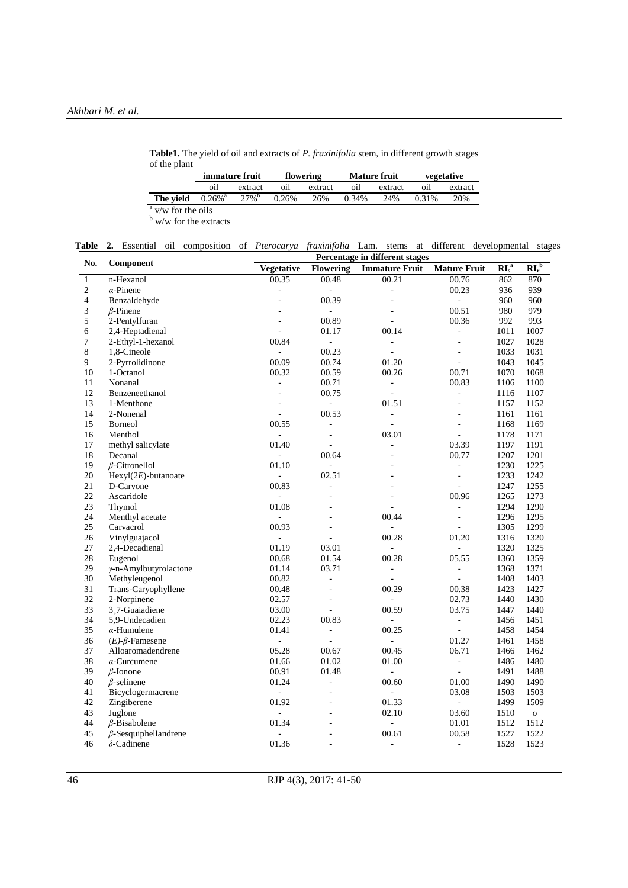**Table1.** The yield of oil and extracts of *P. fraxinifolia* stem, in different growth stages of the plant

|                           | <i>immature fruit</i> |                     | flowering |         |       | <b>Mature fruit</b> | vegetative |         |
|---------------------------|-----------------------|---------------------|-----------|---------|-------|---------------------|------------|---------|
|                           | oil                   | extract             | оıІ       | extract | oil   | extract             | O1l        | extract |
| The vield                 | $0.26\%$ <sup>a</sup> | $27\%$ <sup>b</sup> | 0.26%     | 26%     | 0.34% | 24%                 | 0.31%      | 20%     |
| $\alpha$ v/w for the oils |                       |                     |           |         |       |                     |            |         |

<sup>b</sup> w/w for the extracts

|  |  |  |  |  |  |  |  |  |  |  | Table 2. Essential oil composition of <i>Pterocarya fraxinifolia</i> Lam. stems at different developmental stages |  |
|--|--|--|--|--|--|--|--|--|--|--|-------------------------------------------------------------------------------------------------------------------|--|
|--|--|--|--|--|--|--|--|--|--|--|-------------------------------------------------------------------------------------------------------------------|--|

| No.<br>Component<br><b>Vegetative</b><br><b>Flowering</b><br><b>Immature Fruit</b><br><b>Mature Fruit</b><br>n-Hexanol<br>00.35<br>00.48<br>00.21<br>00.76<br>$\mathbf{1}$<br>$\sqrt{2}$<br>00.23<br>$\alpha$ -Pinene<br>$\blacksquare$<br>÷,<br>4<br>Benzaldehyde<br>00.39<br>$\mathbf{r}$<br>3<br>00.51<br>$\beta$ -Pinene<br>$\equiv$<br>5<br>2-Pentylfuran<br>00.89<br>00.36<br>ä,<br>6<br>2,4-Heptadienal<br>00.14<br>01.17<br>$\blacksquare$<br>$\overline{a}$<br>7<br>00.84<br>2-Ethyl-1-hexanol<br>$\overline{\phantom{a}}$<br>$\overline{\phantom{a}}$<br>÷,<br>$8\,$<br>00.23<br>1,8-Cineole<br>÷.<br>$\overline{a}$<br>$\blacksquare$ | $\mathbf{RI}_r^{\ b}$<br>$R_{s}^{a}$<br>862<br>870<br>936<br>939<br>960<br>960<br>980<br>979<br>992<br>993<br>1007<br>1011<br>1027<br>1028<br>1033<br>1031<br>1043<br>1045 |
|--------------------------------------------------------------------------------------------------------------------------------------------------------------------------------------------------------------------------------------------------------------------------------------------------------------------------------------------------------------------------------------------------------------------------------------------------------------------------------------------------------------------------------------------------------------------------------------------------------------------------------------------------|----------------------------------------------------------------------------------------------------------------------------------------------------------------------------|
|                                                                                                                                                                                                                                                                                                                                                                                                                                                                                                                                                                                                                                                  |                                                                                                                                                                            |
|                                                                                                                                                                                                                                                                                                                                                                                                                                                                                                                                                                                                                                                  |                                                                                                                                                                            |
|                                                                                                                                                                                                                                                                                                                                                                                                                                                                                                                                                                                                                                                  |                                                                                                                                                                            |
|                                                                                                                                                                                                                                                                                                                                                                                                                                                                                                                                                                                                                                                  |                                                                                                                                                                            |
|                                                                                                                                                                                                                                                                                                                                                                                                                                                                                                                                                                                                                                                  |                                                                                                                                                                            |
|                                                                                                                                                                                                                                                                                                                                                                                                                                                                                                                                                                                                                                                  |                                                                                                                                                                            |
|                                                                                                                                                                                                                                                                                                                                                                                                                                                                                                                                                                                                                                                  |                                                                                                                                                                            |
|                                                                                                                                                                                                                                                                                                                                                                                                                                                                                                                                                                                                                                                  |                                                                                                                                                                            |
|                                                                                                                                                                                                                                                                                                                                                                                                                                                                                                                                                                                                                                                  |                                                                                                                                                                            |
| 00.09<br>9<br>00.74<br>01.20<br>2-Pyrrolidinone<br>$\sim$                                                                                                                                                                                                                                                                                                                                                                                                                                                                                                                                                                                        |                                                                                                                                                                            |
| 00.32<br>10<br>1-Octanol<br>00.59<br>00.26<br>00.71                                                                                                                                                                                                                                                                                                                                                                                                                                                                                                                                                                                              | 1070<br>1068                                                                                                                                                               |
| Nonanal<br>00.71<br>00.83<br>11<br>$\Box$<br>$\blacksquare$                                                                                                                                                                                                                                                                                                                                                                                                                                                                                                                                                                                      | 1106<br>1100                                                                                                                                                               |
| 12<br>Benzeneethanol<br>00.75<br>$\bar{a}$<br>÷,<br>$\overline{\phantom{a}}$                                                                                                                                                                                                                                                                                                                                                                                                                                                                                                                                                                     | 1116<br>1107                                                                                                                                                               |
| 13<br>1-Menthone<br>01.51<br>$\blacksquare$<br>ä,                                                                                                                                                                                                                                                                                                                                                                                                                                                                                                                                                                                                | 1157<br>1152                                                                                                                                                               |
| 14<br>00.53<br>2-Nonenal<br>$\overline{a}$<br>$\overline{a}$<br>$\blacksquare$                                                                                                                                                                                                                                                                                                                                                                                                                                                                                                                                                                   | 1161<br>1161                                                                                                                                                               |
| 15<br>Borneol<br>00.55<br>$\overline{a}$<br>$\blacksquare$<br>$\blacksquare$                                                                                                                                                                                                                                                                                                                                                                                                                                                                                                                                                                     | 1168<br>1169                                                                                                                                                               |
| 03.01<br>16<br>Menthol<br>$\blacksquare$<br>$\bar{\phantom{a}}$<br>$\overline{\phantom{a}}$                                                                                                                                                                                                                                                                                                                                                                                                                                                                                                                                                      | 1178<br>1171                                                                                                                                                               |
| 17<br>methyl salicylate<br>01.40<br>03.39<br>$\overline{a}$<br>L.                                                                                                                                                                                                                                                                                                                                                                                                                                                                                                                                                                                | 1197<br>1191                                                                                                                                                               |
| 18<br>Decanal<br>00.64<br>00.77<br>$\overline{a}$<br>$\overline{a}$                                                                                                                                                                                                                                                                                                                                                                                                                                                                                                                                                                              | 1201<br>1207                                                                                                                                                               |
| 19<br>$\beta$ -Citronellol<br>01.10<br>÷,<br>$\overline{\phantom{a}}$                                                                                                                                                                                                                                                                                                                                                                                                                                                                                                                                                                            | 1230<br>1225                                                                                                                                                               |
| 20<br>$Hexyl(2E)$ -butanoate<br>02.51<br>$\Box$<br>L.                                                                                                                                                                                                                                                                                                                                                                                                                                                                                                                                                                                            | 1233<br>1242                                                                                                                                                               |
| 21<br>00.83<br>D-Carvone<br>÷,<br>$\bar{a}$                                                                                                                                                                                                                                                                                                                                                                                                                                                                                                                                                                                                      | 1247<br>1255                                                                                                                                                               |
| 22<br>Ascaridole<br>00.96<br>$\bar{a}$                                                                                                                                                                                                                                                                                                                                                                                                                                                                                                                                                                                                           | 1265<br>1273                                                                                                                                                               |
| 23<br>01.08<br>Thymol<br>$\blacksquare$                                                                                                                                                                                                                                                                                                                                                                                                                                                                                                                                                                                                          | 1290<br>1294                                                                                                                                                               |
| 24<br>00.44<br>Menthyl acetate<br>$\bar{a}$<br>$\Box$                                                                                                                                                                                                                                                                                                                                                                                                                                                                                                                                                                                            | 1296<br>1295                                                                                                                                                               |
| 25<br>00.93<br>Carvacrol<br>÷,                                                                                                                                                                                                                                                                                                                                                                                                                                                                                                                                                                                                                   | 1299<br>1305                                                                                                                                                               |
| 01.20<br>26<br>Vinylguajacol<br>00.28<br>$\overline{\phantom{a}}$                                                                                                                                                                                                                                                                                                                                                                                                                                                                                                                                                                                | 1316<br>1320                                                                                                                                                               |
| 27<br>2,4-Decadienal<br>01.19<br>03.01<br>$\overline{a}$<br>$\overline{a}$                                                                                                                                                                                                                                                                                                                                                                                                                                                                                                                                                                       | 1320<br>1325                                                                                                                                                               |
| 28<br>00.68<br>01.54<br>Eugenol<br>00.28<br>05.55                                                                                                                                                                                                                                                                                                                                                                                                                                                                                                                                                                                                | 1360<br>1359                                                                                                                                                               |
| 29<br>y-n-Amylbutyrolactone<br>01.14<br>03.71<br>$\overline{\phantom{a}}$<br>$\overline{\phantom{a}}$                                                                                                                                                                                                                                                                                                                                                                                                                                                                                                                                            | 1368<br>1371                                                                                                                                                               |
| 30<br>Methyleugenol<br>00.82<br>$\overline{\phantom{a}}$<br>÷,<br>÷,                                                                                                                                                                                                                                                                                                                                                                                                                                                                                                                                                                             | 1408<br>1403                                                                                                                                                               |
| 31<br>00.38<br>Trans-Caryophyllene<br>00.48<br>00.29<br>÷,                                                                                                                                                                                                                                                                                                                                                                                                                                                                                                                                                                                       | 1427<br>1423                                                                                                                                                               |
| 32<br>2-Norpinene<br>02.57<br>02.73<br>÷,<br>$\overline{\phantom{a}}$                                                                                                                                                                                                                                                                                                                                                                                                                                                                                                                                                                            | 1440<br>1430                                                                                                                                                               |
| 33<br>03.00<br>3.7-Guaiadiene<br>00.59<br>03.75<br>$\overline{a}$                                                                                                                                                                                                                                                                                                                                                                                                                                                                                                                                                                                | 1447<br>1440                                                                                                                                                               |
| 34<br>02.23<br>00.83<br>5,9-Undecadien<br>$\blacksquare$                                                                                                                                                                                                                                                                                                                                                                                                                                                                                                                                                                                         | 1451<br>1456                                                                                                                                                               |
| 35<br>$\alpha$ -Humulene<br>01.41<br>00.25<br>÷.<br>$\blacksquare$                                                                                                                                                                                                                                                                                                                                                                                                                                                                                                                                                                               | 1458<br>1454                                                                                                                                                               |
| 01.27<br>36<br>÷,<br>$(E)$ - $\beta$ -Famesene<br>$\overline{\phantom{a}}$<br>$\overline{a}$                                                                                                                                                                                                                                                                                                                                                                                                                                                                                                                                                     | 1461<br>1458                                                                                                                                                               |
| 37<br>06.71<br>Alloaromadendrene<br>05.28<br>00.67<br>00.45                                                                                                                                                                                                                                                                                                                                                                                                                                                                                                                                                                                      | 1466<br>1462                                                                                                                                                               |
| 38<br>$\alpha$ -Curcumene<br>01.66<br>01.02<br>01.00<br>$\overline{\phantom{a}}$                                                                                                                                                                                                                                                                                                                                                                                                                                                                                                                                                                 | 1486<br>1480                                                                                                                                                               |
| 39<br>00.91<br>$\beta$ -Ionone<br>01.48<br>$\Box$<br>$\omega$                                                                                                                                                                                                                                                                                                                                                                                                                                                                                                                                                                                    | 1491<br>1488                                                                                                                                                               |
| 40<br>$\beta$ -selinene<br>01.24<br>01.00<br>00.60<br>÷,                                                                                                                                                                                                                                                                                                                                                                                                                                                                                                                                                                                         | 1490<br>1490                                                                                                                                                               |
| 41<br>Bicyclogermacrene<br>03.08<br>$\Box$<br>÷,<br>L,                                                                                                                                                                                                                                                                                                                                                                                                                                                                                                                                                                                           | 1503<br>1503                                                                                                                                                               |
| 42<br>01.92<br>01.33<br>Zingiberene<br>÷,                                                                                                                                                                                                                                                                                                                                                                                                                                                                                                                                                                                                        | 1499<br>1509                                                                                                                                                               |
| 43<br>Juglone<br>02.10<br>03.60                                                                                                                                                                                                                                                                                                                                                                                                                                                                                                                                                                                                                  | 1510<br>$\mathbf{o}$                                                                                                                                                       |
| 44<br>01.34<br>$\beta$ -Bisabolene<br>01.01<br>$\overline{a}$                                                                                                                                                                                                                                                                                                                                                                                                                                                                                                                                                                                    | 1512<br>1512                                                                                                                                                               |
| 45<br>00.61<br>$\beta$ -Sesquiphellandrene<br>00.58                                                                                                                                                                                                                                                                                                                                                                                                                                                                                                                                                                                              | 1527<br>1522                                                                                                                                                               |
| 01.36<br>$\delta$ -Cadinene<br>1528<br>46<br>$\blacksquare$<br>÷.<br>$\overline{\phantom{a}}$                                                                                                                                                                                                                                                                                                                                                                                                                                                                                                                                                    | 1523                                                                                                                                                                       |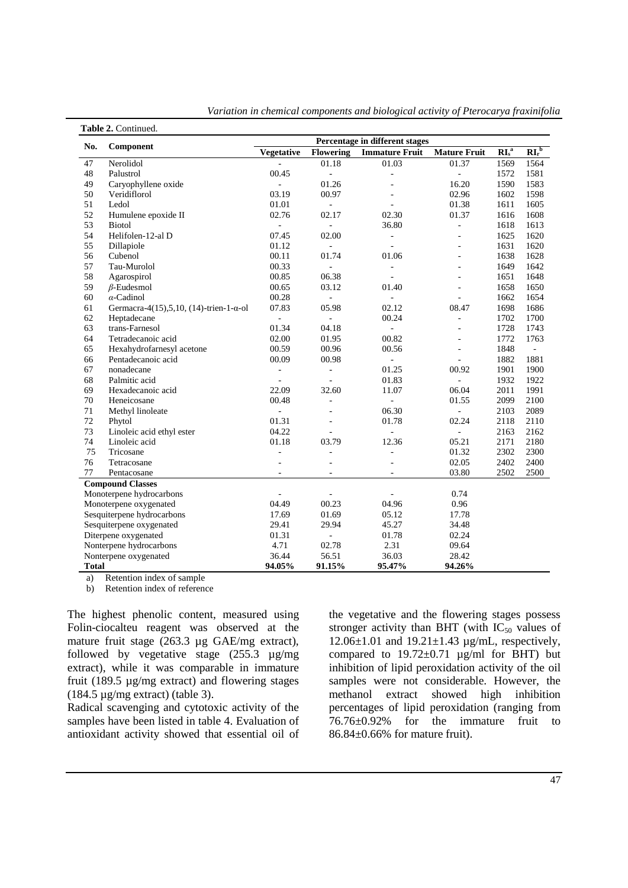| No.          | Component                                | Percentage in different stages |                          |                          |                          |                                     |                       |  |
|--------------|------------------------------------------|--------------------------------|--------------------------|--------------------------|--------------------------|-------------------------------------|-----------------------|--|
|              |                                          | <b>Vegetative</b>              | <b>Flowering</b>         | <b>Immature Fruit</b>    | <b>Mature Fruit</b>      | $\overline{\text{RI}_s^{\text{a}}}$ | $\mathbf{RI}_r^{\ b}$ |  |
| 47           | Nerolidol                                | ÷.                             | 01.18                    | 01.03                    | 01.37                    | 1569                                | 1564                  |  |
| 48           | Palustrol                                | 00.45                          | $\overline{\phantom{a}}$ | $\overline{\phantom{a}}$ | $\overline{\phantom{a}}$ | 1572                                | 1581                  |  |
| 49           | Caryophyllene oxide                      | L,                             | 01.26                    | $\mathbf{r}$             | 16.20                    | 1590                                | 1583                  |  |
| 50           | Veridiflorol                             | 03.19                          | 00.97                    |                          | 02.96                    | 1602                                | 1598                  |  |
| 51           | Ledol                                    | 01.01                          | $\bar{a}$                |                          | 01.38                    | 1611                                | 1605                  |  |
| 52           | Humulene epoxide II                      | 02.76                          | 02.17                    | 02.30                    | 01.37                    | 1616                                | 1608                  |  |
| 53           | <b>Biotol</b>                            | ÷,                             | $\overline{a}$           | 36.80                    | ä,                       | 1618                                | 1613                  |  |
| 54           | Helifolen-12-al D                        | 07.45                          | 02.00                    | $\overline{\phantom{a}}$ |                          | 1625                                | 1620                  |  |
| 55           | Dillapiole                               | 01.12                          | $\overline{\phantom{a}}$ |                          |                          | 1631                                | 1620                  |  |
| 56           | Cubenol                                  | 00.11                          | 01.74                    | 01.06                    | $\overline{a}$           | 1638                                | 1628                  |  |
| 57           | Tau-Murolol                              | 00.33                          | ÷,                       | $\overline{\phantom{a}}$ | $\overline{a}$           | 1649                                | 1642                  |  |
| 58           | Agarospirol                              | 00.85                          | 06.38                    | $\overline{a}$           | ٠                        | 1651                                | 1648                  |  |
| 59           | $\beta$ -Eudesmol                        | 00.65                          | 03.12                    | 01.40                    | ٠                        | 1658                                | 1650                  |  |
| 60           | $\alpha$ -Cadinol                        | 00.28                          | ÷,                       | $\bar{a}$                | $\overline{\phantom{a}}$ | 1662                                | 1654                  |  |
| 61           | Germacra-4(15), 5, 10, (14)-trien-1-α-ol | 07.83                          | 05.98                    | 02.12                    | 08.47                    | 1698                                | 1686                  |  |
| 62           | Heptadecane                              | $\overline{\phantom{a}}$       | $\Box$                   | 00.24                    | ä,                       | 1702                                | 1700                  |  |
| 63           | trans-Farnesol                           | 01.34                          | 04.18                    | $\Box$                   | ä,                       | 1728                                | 1743                  |  |
| 64           | Tetradecanoic acid                       | 02.00                          | 01.95                    | 00.82                    | ٠                        | 1772                                | 1763                  |  |
| 65           | Hexahydrofarnesyl acetone                | 00.59                          | 00.96                    | 00.56                    | $\sim$                   | 1848                                | $\omega$              |  |
| 66           | Pentadecanoic acid                       | 00.09                          | 00.98                    | $\blacksquare$           | $\overline{a}$           | 1882                                | 1881                  |  |
| 67           | nonadecane                               | ÷,                             | $\overline{\phantom{a}}$ | 01.25                    | 00.92                    | 1901                                | 1900                  |  |
| 68           | Palmitic acid                            | L.                             | L.                       | 01.83                    | ÷.                       | 1932                                | 1922                  |  |
| 69           | Hexadecanoic acid                        | 22.09                          | 32.60                    | 11.07                    | 06.04                    | 2011                                | 1991                  |  |
| 70           | Heneicosane                              | 00.48                          | $\bar{a}$                | $\Box$                   | 01.55                    | 2099                                | 2100                  |  |
| 71           | Methyl linoleate                         | ÷,                             |                          | 06.30                    | $\overline{\phantom{a}}$ | 2103                                | 2089                  |  |
| 72           | Phytol                                   | 01.31                          |                          | 01.78                    | 02.24                    | 2118                                | 2110                  |  |
| 73           | Linoleic acid ethyl ester                | 04.22                          | L.                       | $\sim$                   | $\sim$                   | 2163                                | 2162                  |  |
| 74           | Linoleic acid                            | 01.18                          | 03.79                    | 12.36                    | 05.21                    | 2171                                | 2180                  |  |
| 75           | Tricosane                                | ÷,                             | L,                       | ä,                       | 01.32                    | 2302                                | 2300                  |  |
| 76           | Tetracosane                              |                                |                          |                          | 02.05                    | 2402                                | 2400                  |  |
| 77           | Pentacosane                              | $\bar{\phantom{a}}$            | $\overline{\phantom{a}}$ | $\overline{\phantom{a}}$ | 03.80                    | 2502                                | 2500                  |  |
|              | <b>Compound Classes</b>                  |                                |                          |                          |                          |                                     |                       |  |
|              | Monoterpene hydrocarbons                 | ÷                              | ä,                       | $\overline{\phantom{a}}$ | 0.74                     |                                     |                       |  |
|              | Monoterpene oxygenated                   | 04.49                          | 00.23                    | 04.96                    | 0.96                     |                                     |                       |  |
|              | Sesquiterpene hydrocarbons               | 17.69                          | 01.69                    | 05.12                    | 17.78                    |                                     |                       |  |
|              | Sesquiterpene oxygenated                 | 29.41                          | 29.94                    | 45.27                    | 34.48                    |                                     |                       |  |
|              | Diterpene oxygenated                     | 01.31                          | $\overline{a}$           | 01.78                    | 02.24                    |                                     |                       |  |
|              | Nonterpene hydrocarbons                  | 4.71                           | 2.31<br>09.64<br>02.78   |                          |                          |                                     |                       |  |
|              | Nonterpene oxygenated                    | 36.44                          | 56.51                    | 36.03                    | 28.42                    |                                     |                       |  |
| <b>Total</b> |                                          | 94.05%                         | 91.15%                   | 95.47%                   | 94.26%                   |                                     |                       |  |

*Variation in chemical components and biological activity of Pterocarya fraxinifolia* 

a) Retention index of sample

b) Retention index of reference

The highest phenolic content, measured using Folin-ciocalteu reagent was observed at the mature fruit stage (263.3 µg GAE/mg extract), followed by vegetative stage (255.3 µg/mg extract), while it was comparable in immature fruit (189.5 µg/mg extract) and flowering stages (184.5  $\mu$ g/mg extract) (table 3).

Radical scavenging and cytotoxic activity of the samples have been listed in table 4. Evaluation of antioxidant activity showed that essential oil of the vegetative and the flowering stages possess stronger activity than BHT (with  $IC_{50}$  values of 12.06 $\pm$ 1.01 and 19.21 $\pm$ 1.43 µg/mL, respectively, compared to  $19.72 \pm 0.71$   $\mu$ g/ml for BHT) but inhibition of lipid peroxidation activity of the oil samples were not considerable. However, the methanol extract showed high inhibition percentages of lipid peroxidation (ranging from 76.76±0.92% for the immature fruit to 86.84±0.66% for mature fruit).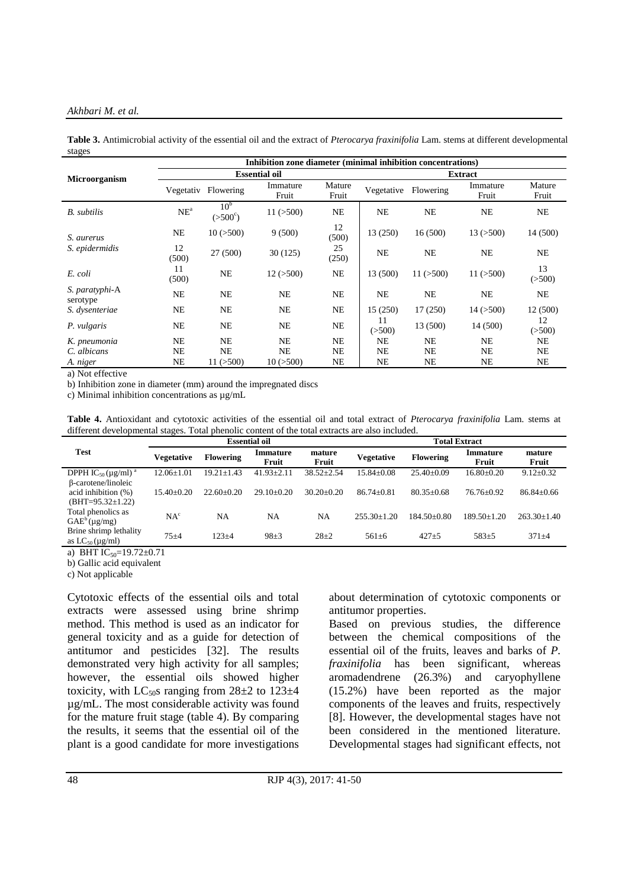#### *Akhbari M. et al.*

**Table 3.** Antimicrobial activity of the essential oil and the extract of *Pterocarya fraxinifolia* Lam. stems at different developmental stages

|                            | Inhibition zone diameter (minimal inhibition concentrations) |                                     |                   |                 |              |                |                   |                 |  |  |  |
|----------------------------|--------------------------------------------------------------|-------------------------------------|-------------------|-----------------|--------------|----------------|-------------------|-----------------|--|--|--|
| <b>Microorganism</b>       | <b>Essential oil</b>                                         |                                     |                   |                 |              | <b>Extract</b> |                   |                 |  |  |  |
|                            | Vegetativ                                                    | Flowering                           | Immature<br>Fruit | Mature<br>Fruit | Vegetative   | Flowering      | Immature<br>Fruit | Mature<br>Fruit |  |  |  |
| <b>B.</b> subtilis         | NE <sup>a</sup>                                              | 10 <sup>b</sup><br>$(>500^{\circ})$ | 11 (>500)         | NE              | <b>NE</b>    | NE             | NE                | <b>NE</b>       |  |  |  |
| S. aurerus                 | NE                                                           | 10(>500)                            | 9(500)            | 12<br>(500)     | 13 (250)     | 16(500)        | 13(>500)          | 14 (500)        |  |  |  |
| S. epidermidis             | 12<br>(500)                                                  | 27(500)                             | 30(125)           | 25<br>(250)     | <b>NE</b>    | <b>NE</b>      | NE                | <b>NE</b>       |  |  |  |
| E. coli                    | 11<br>(500)                                                  | <b>NE</b>                           | 12(>500)          | <b>NE</b>       | 13 (500)     | 11 (>500)      | 11(>500)          | 13<br>( >500)   |  |  |  |
| S. paratyphi-A<br>serotype | <b>NE</b>                                                    | NE                                  | <b>NE</b>         | <b>NE</b>       | NE           | <b>NE</b>      | NE                | <b>NE</b>       |  |  |  |
| S. dysenteriae             | NE                                                           | NE                                  | NE                | NE              | 15(250)      | 17(250)        | $14 \,(> 500)$    | 12 (500)        |  |  |  |
| P. vulgaris                | NE                                                           | NE                                  | NE                | NE              | 11<br>(>500) | 13 (500)       | 14 (500)          | 12<br>(>500)    |  |  |  |
| K. pneumonia               | NE                                                           | NE                                  | <b>NE</b>         | NE              | NE           | NE             | NE                | NE              |  |  |  |
| C. albicans                | NE                                                           | <b>NE</b>                           | <b>NE</b>         | NE              | NE           | NE             | NE                | NE              |  |  |  |
| A. niger                   | NE                                                           | $11 \,(> 500)$                      | 10(>500)          | NE              | NE           | NE             | NE                | NE              |  |  |  |

a) Not effective

b) Inhibition zone in diameter (mm) around the impregnated discs

c) Minimal inhibition concentrations as µg/mL

**Table 4.** Antioxidant and cytotoxic activities of the essential oil and total extract of *Pterocarya fraxinifolia* Lam. stems at different developmental stages. Total phenolic content of the total extracts are also included.

|                                                                       |                  |                  | <b>Essential oil</b> |                 | <b>Total Extract</b> |                  |                   |                   |  |
|-----------------------------------------------------------------------|------------------|------------------|----------------------|-----------------|----------------------|------------------|-------------------|-------------------|--|
| <b>Test</b>                                                           | Vegetative       | <b>Flowering</b> | Immature<br>Fruit    | mature<br>Fruit | Vegetative           | <b>Flowering</b> | Immature<br>Fruit | mature<br>Fruit   |  |
| DPPH IC <sub>50</sub> ( $\mu$ g/ml) <sup>a</sup>                      | $12.06 \pm 1.01$ | $19.21 \pm 1.43$ | $41.93 + 2.11$       | $38.52 + 2.54$  | $15.84 + 0.08$       | $25.40+0.09$     | $16.80 \pm 0.20$  | $9.12 \pm 0.32$   |  |
| β-carotene/linoleic<br>acid inhibition $(\%)$<br>$(BHT=95.32\pm1.22)$ | $15.40+0.20$     | $22.60+0.20$     | $29.10+0.20$         | $30.20 + 0.20$  | $86.74 + 0.81$       | $80.35 + 0.68$   | $76.76 + 0.92$    | $86.84 \pm 0.66$  |  |
| Total phenolics as<br>$GAE^b(\mu g/mg)$                               | NA <sup>c</sup>  | NA               | NA                   | NA              | $255.30+1.20$        | $184.50+0.80$    | $189.50 + 1.20$   | $263.30 \pm 1.40$ |  |
| Brine shrimp lethality<br>as $LC_{50}$ (µg/ml)                        | $75 + 4$         | $123 + 4$        | $98+3$               | $28+2$          | $561 \pm 6$          | $427 + 5$        | $583+5$           | $371 + 4$         |  |

a) BHT  $IC_{50}$ =19.72 $\pm$ 0.71

b) Gallic acid equivalent

c) Not applicable

Cytotoxic effects of the essential oils and total extracts were assessed using brine shrimp method. This method is used as an indicator for general toxicity and as a guide for detection of antitumor and pesticides [32]. The results demonstrated very high activity for all samples; however, the essential oils showed higher toxicity, with  $LC_{50}$ s ranging from  $28\pm2$  to  $123\pm4$ µg/mL. The most considerable activity was found for the mature fruit stage (table 4). By comparing the results, it seems that the essential oil of the plant is a good candidate for more investigations

about determination of cytotoxic components or antitumor properties.

Based on previous studies, the difference between the chemical compositions of the essential oil of the fruits, leaves and barks of *P. fraxinifolia* has been significant, whereas aromadendrene (26.3%) and caryophyllene (15.2%) have been reported as the major components of the leaves and fruits, respectively [8]. However, the developmental stages have not been considered in the mentioned literature. Developmental stages had significant effects, not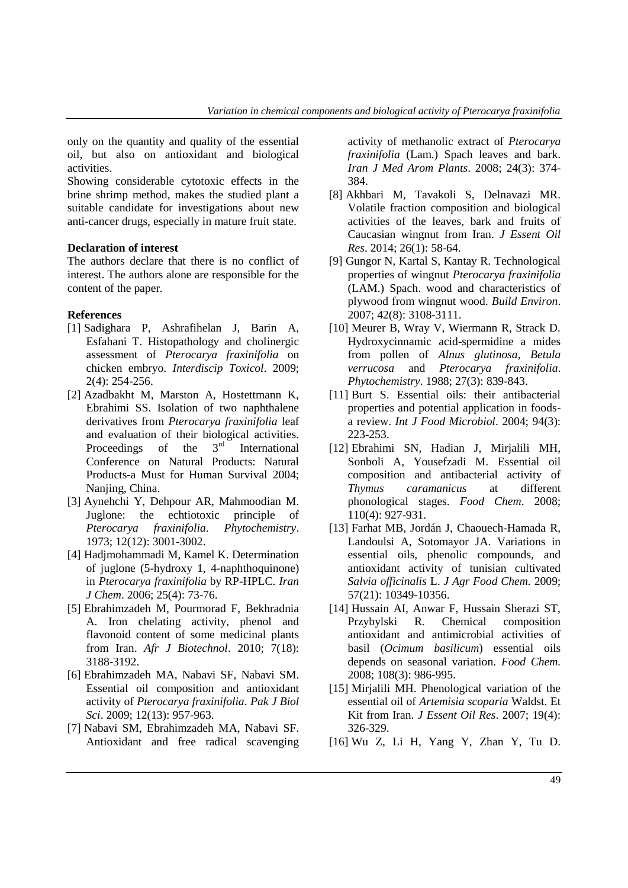only on the quantity and quality of the essential oil, but also on antioxidant and biological activities.

Showing considerable cytotoxic effects in the brine shrimp method, makes the studied plant a suitable candidate for investigations about new anti-cancer drugs, especially in mature fruit state.

#### **Declaration of interest**

The authors declare that there is no conflict of interest. The authors alone are responsible for the content of the paper.

# **References**

- [1] Sadighara P, Ashrafihelan J, Barin A, Esfahani T. Histopathology and cholinergic assessment of *Pterocarya fraxinifolia* on chicken embryo. *Interdiscip Toxicol*. 2009; 2(4): 254-256.
- [2] Azadbakht M, Marston A, Hostettmann K, Ebrahimi SS. Isolation of two naphthalene derivatives from *Pterocarya fraxinifolia* leaf and evaluation of their biological activities. Proceedings of the 3<sup>rd</sup> International Conference on Natural Products: Natural Products-a Must for Human Survival 2004; Nanjing, China.
- [3] Aynehchi Y, Dehpour AR, Mahmoodian M. Juglone: the echtiotoxic principle of *Pterocarya fraxinifolia*. *Phytochemistry*. 1973; 12(12): 3001-3002.
- [4] Hadjmohammadi M, Kamel K. Determination of juglone (5-hydroxy 1, 4-naphthoquinone) in *Pterocarya fraxinifolia* by RP-HPLC. *Iran J Chem*. 2006; 25(4): 73-76.
- [5] Ebrahimzadeh M, Pourmorad F, Bekhradnia A. Iron chelating activity, phenol and flavonoid content of some medicinal plants from Iran. *Afr J Biotechnol*. 2010; 7(18): 3188-3192.
- [6] Ebrahimzadeh MA, Nabavi SF, Nabavi SM. Essential oil composition and antioxidant activity of *Pterocarya fraxinifolia*. *Pak J Biol Sci*. 2009; 12(13): 957-963.
- [7] Nabavi SM, Ebrahimzadeh MA, Nabavi SF. Antioxidant and free radical scavenging

activity of methanolic extract of *Pterocarya fraxinifolia* (Lam.) Spach leaves and bark. *Iran J Med Arom Plants*. 2008; 24(3): 374- 384.

- [8] Akhbari M, Tavakoli S, Delnavazi MR. Volatile fraction composition and biological activities of the leaves, bark and fruits of Caucasian wingnut from Iran. *J Essent Oil Res*. 2014; 26(1): 58-64.
- [9] Gungor N, Kartal S, Kantay R. Technological properties of wingnut *Pterocarya fraxinifolia* (LAM.) Spach. wood and characteristics of plywood from wingnut wood. *Build Environ*. 2007; 42(8): 3108-3111.
- [10] Meurer B, Wray V, Wiermann R, Strack D. Hydroxycinnamic acid-spermidine a mides from pollen of *Alnus glutinosa*, *Betula verrucosa* and *Pterocarya fraxinifolia*. *Phytochemistry*. 1988; 27(3): 839-843.
- [11] Burt S. Essential oils: their antibacterial properties and potential application in foodsa review. *Int J Food Microbiol*. 2004; 94(3): 223-253.
- [12] Ebrahimi SN, Hadian J, Mirjalili MH, Sonboli A, Yousefzadi M. Essential oil composition and antibacterial activity of *Thymus caramanicus* at different phonological stages. *Food Chem*. 2008; 110(4): 927-931.
- [13] Farhat MB, Jordán J, Chaouech-Hamada R, Landoulsi A, Sotomayor JA. Variations in essential oils, phenolic compounds, and antioxidant activity of tunisian cultivated *Salvia officinalis* L. *J Agr Food Chem.* 2009; 57(21): 10349-10356.
- [14] Hussain AI, Anwar F, Hussain Sherazi ST, Przybylski R. Chemical composition antioxidant and antimicrobial activities of basil (*Ocimum basilicum*) essential oils depends on seasonal variation. *Food Chem.* 2008; 108(3): 986-995.
- [15] Mirjalili MH. Phenological variation of the essential oil of *Artemisia scoparia* Waldst. Et Kit from Iran. *J Essent Oil Res*. 2007; 19(4): 326-329.
- [16] Wu Z, Li H, Yang Y, Zhan Y, Tu D.